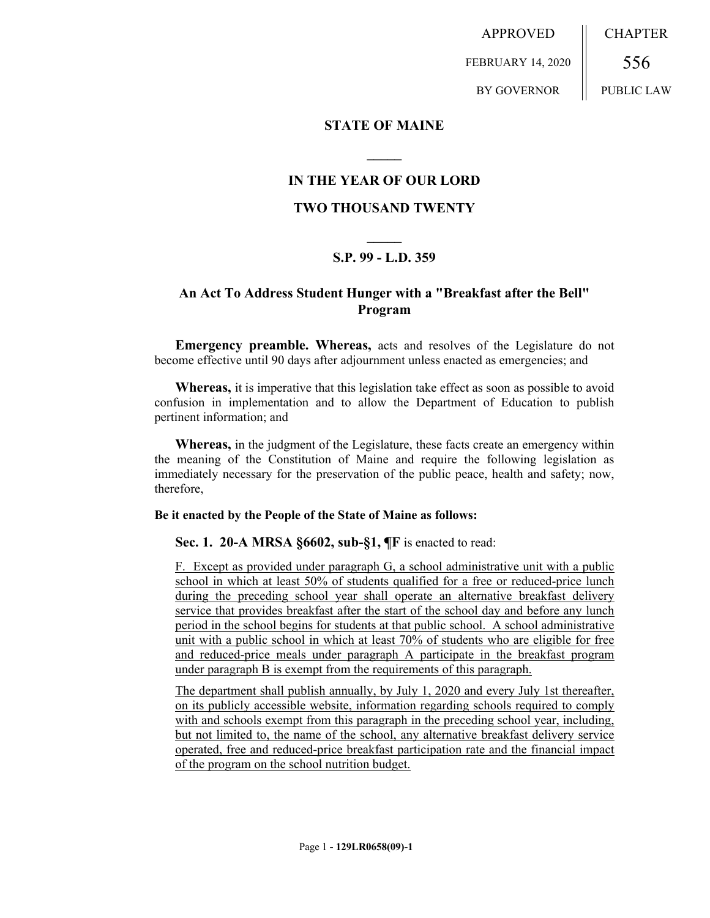APPROVED FEBRUARY 14, 2020 CHAPTER 556

BY GOVERNOR

PUBLIC LAW

### **STATE OF MAINE**

## **IN THE YEAR OF OUR LORD**

**\_\_\_\_\_**

### **TWO THOUSAND TWENTY**

# **\_\_\_\_\_ S.P. 99 - L.D. 359**

# **An Act To Address Student Hunger with a "Breakfast after the Bell" Program**

**Emergency preamble. Whereas,** acts and resolves of the Legislature do not become effective until 90 days after adjournment unless enacted as emergencies; and

**Whereas,** it is imperative that this legislation take effect as soon as possible to avoid confusion in implementation and to allow the Department of Education to publish pertinent information; and

**Whereas,** in the judgment of the Legislature, these facts create an emergency within the meaning of the Constitution of Maine and require the following legislation as immediately necessary for the preservation of the public peace, health and safety; now, therefore,

#### **Be it enacted by the People of the State of Maine as follows:**

**Sec. 1. 20-A MRSA §6602, sub-§1, ¶F** is enacted to read:

F. Except as provided under paragraph G, a school administrative unit with a public school in which at least 50% of students qualified for a free or reduced-price lunch during the preceding school year shall operate an alternative breakfast delivery service that provides breakfast after the start of the school day and before any lunch period in the school begins for students at that public school. A school administrative unit with a public school in which at least 70% of students who are eligible for free and reduced-price meals under paragraph A participate in the breakfast program under paragraph B is exempt from the requirements of this paragraph.

The department shall publish annually, by July 1, 2020 and every July 1st thereafter, on its publicly accessible website, information regarding schools required to comply with and schools exempt from this paragraph in the preceding school year, including, but not limited to, the name of the school, any alternative breakfast delivery service operated, free and reduced-price breakfast participation rate and the financial impact of the program on the school nutrition budget.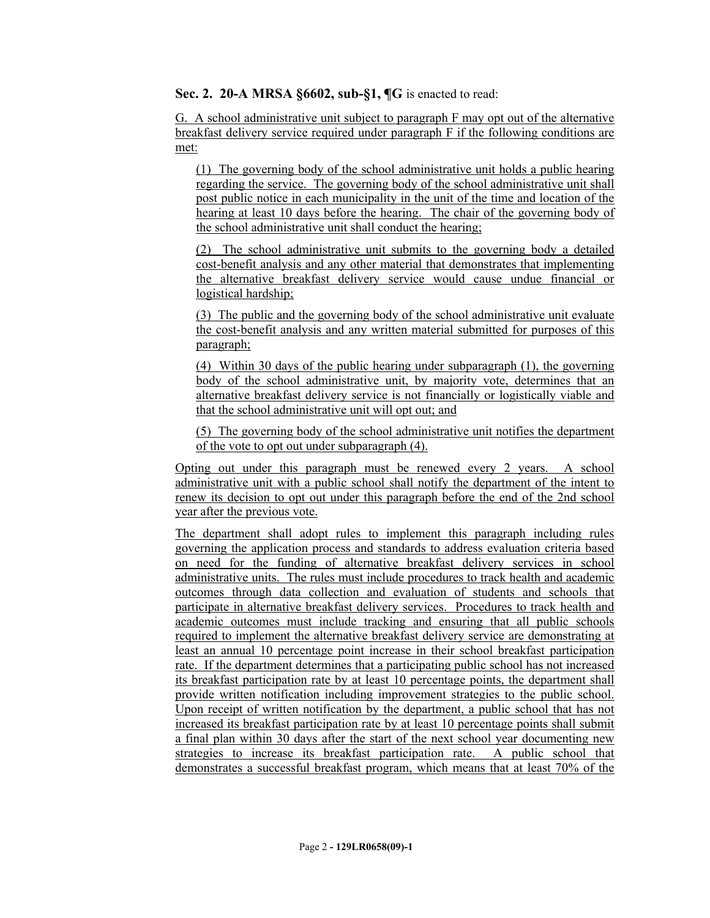**Sec. 2. 20-A MRSA §6602, sub-§1, ¶G** is enacted to read:

G. A school administrative unit subject to paragraph F may opt out of the alternative breakfast delivery service required under paragraph F if the following conditions are met:

(1) The governing body of the school administrative unit holds a public hearing regarding the service. The governing body of the school administrative unit shall post public notice in each municipality in the unit of the time and location of the hearing at least 10 days before the hearing. The chair of the governing body of the school administrative unit shall conduct the hearing;

(2) The school administrative unit submits to the governing body a detailed cost-benefit analysis and any other material that demonstrates that implementing the alternative breakfast delivery service would cause undue financial or logistical hardship;

(3) The public and the governing body of the school administrative unit evaluate the cost-benefit analysis and any written material submitted for purposes of this paragraph;

(4) Within 30 days of the public hearing under subparagraph (1), the governing body of the school administrative unit, by majority vote, determines that an alternative breakfast delivery service is not financially or logistically viable and that the school administrative unit will opt out; and

(5) The governing body of the school administrative unit notifies the department of the vote to opt out under subparagraph (4).

Opting out under this paragraph must be renewed every 2 years. A school administrative unit with a public school shall notify the department of the intent to renew its decision to opt out under this paragraph before the end of the 2nd school year after the previous vote.

The department shall adopt rules to implement this paragraph including rules governing the application process and standards to address evaluation criteria based on need for the funding of alternative breakfast delivery services in school administrative units. The rules must include procedures to track health and academic outcomes through data collection and evaluation of students and schools that participate in alternative breakfast delivery services. Procedures to track health and academic outcomes must include tracking and ensuring that all public schools required to implement the alternative breakfast delivery service are demonstrating at least an annual 10 percentage point increase in their school breakfast participation rate. If the department determines that a participating public school has not increased its breakfast participation rate by at least 10 percentage points, the department shall provide written notification including improvement strategies to the public school. Upon receipt of written notification by the department, a public school that has not increased its breakfast participation rate by at least 10 percentage points shall submit a final plan within 30 days after the start of the next school year documenting new strategies to increase its breakfast participation rate. A public school that demonstrates a successful breakfast program, which means that at least 70% of the